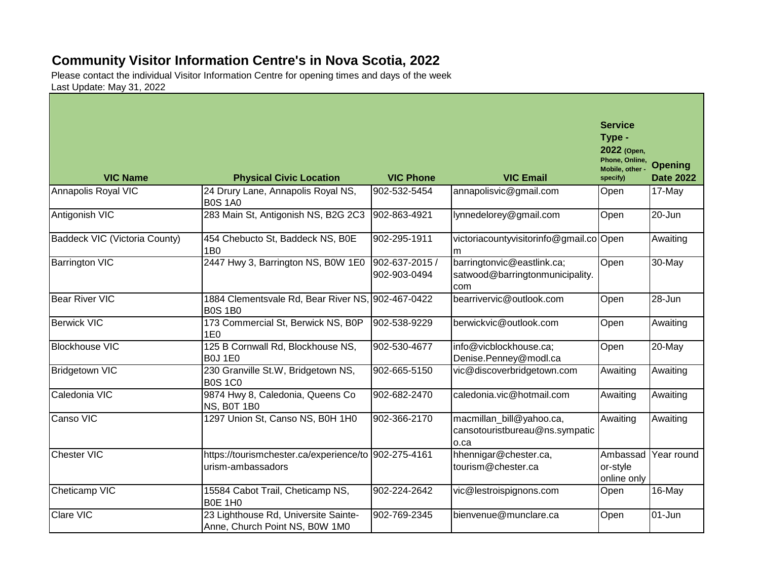## **Community Visitor Information Centre's in Nova Scotia, 2022**

Please contact the individual Visitor Information Centre for opening times and days of the week Last Update: May 31, 2022

| <b>VIC Name</b>               | <b>Physical Civic Location</b>                                            | <b>VIC Phone</b>               | <b>VIC Email</b>                                                     | <b>Service</b><br>Type -<br>2022 (Open,<br>Phone, Online,<br>Mobile, other<br>specify) | <b>Opening</b><br><b>Date 2022</b> |
|-------------------------------|---------------------------------------------------------------------------|--------------------------------|----------------------------------------------------------------------|----------------------------------------------------------------------------------------|------------------------------------|
| Annapolis Royal VIC           | 24 Drury Lane, Annapolis Royal NS,<br><b>B0S 1A0</b>                      | 902-532-5454                   | annapolisvic@gmail.com                                               | Open                                                                                   | 17-May                             |
| Antigonish VIC                | 283 Main St, Antigonish NS, B2G 2C3                                       | 902-863-4921                   | lynnedelorey@gmail.com                                               | Open                                                                                   | 20-Jun                             |
| Baddeck VIC (Victoria County) | 454 Chebucto St, Baddeck NS, B0E<br><b>1B0</b>                            | 902-295-1911                   | victoriacountyvisitorinfo@gmail.co Open<br>m                         |                                                                                        | Awaiting                           |
| <b>Barrington VIC</b>         | 2447 Hwy 3, Barrington NS, B0W 1E0                                        | 902-637-2015 /<br>902-903-0494 | barringtonvic@eastlink.ca;<br>satwood@barringtonmunicipality.<br>com | Open                                                                                   | 30-May                             |
| <b>Bear River VIC</b>         | 1884 Clementsvale Rd, Bear River NS, 902-467-0422<br><b>B0S 1B0</b>       |                                | bearrivervic@outlook.com                                             | Open                                                                                   | 28-Jun                             |
| <b>Berwick VIC</b>            | 173 Commercial St, Berwick NS, B0P<br>1E <sub>0</sub>                     | 902-538-9229                   | berwickvic@outlook.com                                               | Open                                                                                   | Awaiting                           |
| <b>Blockhouse VIC</b>         | 125 B Cornwall Rd, Blockhouse NS,<br><b>B0J1E0</b>                        | 902-530-4677                   | info@vicblockhouse.ca;<br>Denise.Penney@modl.ca                      | Open                                                                                   | 20-May                             |
| <b>Bridgetown VIC</b>         | 230 Granville St.W, Bridgetown NS,<br><b>B0S 1C0</b>                      | 902-665-5150                   | vic@discoverbridgetown.com                                           | Awaiting                                                                               | Awaiting                           |
| Caledonia VIC                 | 9874 Hwy 8, Caledonia, Queens Co<br>NS, B0T 1B0                           | 902-682-2470                   | caledonia.vic@hotmail.com                                            | Awaiting                                                                               | Awaiting                           |
| Canso VIC                     | 1297 Union St, Canso NS, B0H 1H0                                          | 902-366-2170                   | macmillan_bill@yahoo.ca,<br>cansotouristbureau@ns.sympatic<br>o.ca   | Awaiting                                                                               | Awaiting                           |
| Chester VIC                   | https://tourismchester.ca/experience/to 902-275-4161<br>urism-ambassadors |                                | hhennigar@chester.ca,<br>tourism@chester.ca                          | Ambassad<br>or-style<br>online only                                                    | Year round                         |
| Cheticamp VIC                 | 15584 Cabot Trail, Cheticamp NS,<br>BOE 1H0                               | 902-224-2642                   | vic@lestroispignons.com                                              | Open                                                                                   | 16-May                             |
| <b>Clare VIC</b>              | 23 Lighthouse Rd, Universite Sainte-<br>Anne, Church Point NS, B0W 1M0    | 902-769-2345                   | bienvenue@munclare.ca                                                | Open                                                                                   | $01 - Jun$                         |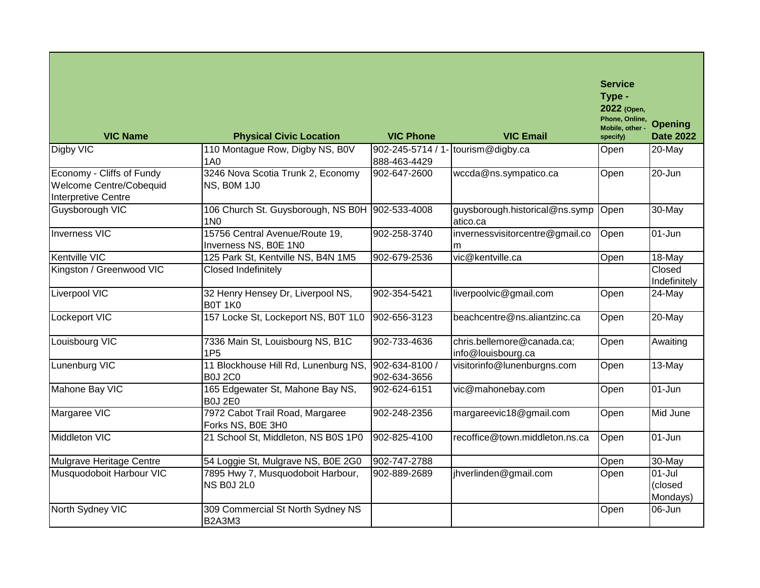| <b>VIC Name</b>                                                                    | <b>Physical Civic Location</b>                                | <b>VIC Phone</b>                  | <b>VIC Email</b>                                 | <b>Service</b><br>Type -<br>2022 (Open,<br>Phone, Online,<br>Mobile, other -<br>specify) | <b>Opening</b><br><b>Date 2022</b> |
|------------------------------------------------------------------------------------|---------------------------------------------------------------|-----------------------------------|--------------------------------------------------|------------------------------------------------------------------------------------------|------------------------------------|
| Digby VIC                                                                          | 110 Montague Row, Digby NS, B0V<br><b>1A0</b>                 | 902-245-5714 / 1-<br>888-463-4429 | tourism@digby.ca                                 | Open                                                                                     | 20-May                             |
| Economy - Cliffs of Fundy<br>Welcome Centre/Cobequid<br><b>Interpretive Centre</b> | 3246 Nova Scotia Trunk 2, Economy<br>NS, BOM 1J0              | 902-647-2600                      | wccda@ns.sympatico.ca                            | Open                                                                                     | $20 - Jun$                         |
| Guysborough VIC                                                                    | 106 Church St. Guysborough, NS B0H 902-533-4008<br><b>1N0</b> |                                   | guysborough.historical@ns.symp<br>atico.ca       | Open                                                                                     | 30-May                             |
| Inverness VIC                                                                      | 15756 Central Avenue/Route 19,<br>Inverness NS, B0E 1N0       | 902-258-3740                      | invernessvisitorcentre@gmail.co<br>m             | Open                                                                                     | $01 - Jun$                         |
| Kentville VIC                                                                      | 125 Park St, Kentville NS, B4N 1M5                            | 902-679-2536                      | vic@kentville.ca                                 | Open                                                                                     | 18-May                             |
| Kingston / Greenwood VIC                                                           | Closed Indefinitely                                           |                                   |                                                  |                                                                                          | Closed<br>Indefinitely             |
| Liverpool VIC                                                                      | 32 Henry Hensey Dr, Liverpool NS,<br><b>B0T 1K0</b>           | 902-354-5421                      | liverpoolvic@gmail.com                           | Open                                                                                     | 24-May                             |
| <b>Lockeport VIC</b>                                                               | 157 Locke St, Lockeport NS, B0T 1L0                           | 902-656-3123                      | beachcentre@ns.aliantzinc.ca                     | Open                                                                                     | 20-May                             |
| Louisbourg VIC                                                                     | 7336 Main St, Louisbourg NS, B1C<br>1P <sub>5</sub>           | 902-733-4636                      | chris.bellemore@canada.ca;<br>info@louisbourg.ca | Open                                                                                     | Awaiting                           |
| Lunenburg VIC                                                                      | 11 Blockhouse Hill Rd, Lunenburg NS,<br><b>B0J 2C0</b>        | 902-634-8100 /<br>902-634-3656    | visitorinfo@lunenburgns.com                      | Open                                                                                     | 13-May                             |
| Mahone Bay VIC                                                                     | 165 Edgewater St, Mahone Bay NS,<br><b>B0J 2E0</b>            | 902-624-6151                      | vic@mahonebay.com                                | Open                                                                                     | 01-Jun                             |
| Margaree VIC                                                                       | 7972 Cabot Trail Road, Margaree<br>Forks NS, B0E 3H0          | 902-248-2356                      | margareevic18@gmail.com                          | Open                                                                                     | Mid June                           |
| Middleton VIC                                                                      | 21 School St, Middleton, NS B0S 1P0                           | 902-825-4100                      | recoffice@town.middleton.ns.ca                   | Open                                                                                     | 01-Jun                             |
| Mulgrave Heritage Centre                                                           | 54 Loggie St, Mulgrave NS, B0E 2G0                            | 902-747-2788                      |                                                  | Open                                                                                     | 30-May                             |
| Musquodoboit Harbour VIC                                                           | 7895 Hwy 7, Musquodoboit Harbour,<br><b>NS B0J 2L0</b>        | 902-889-2689                      | jhverlinden@gmail.com                            | Open                                                                                     | $01 -$ Jul<br>(closed<br>Mondays)  |
| North Sydney VIC                                                                   | 309 Commercial St North Sydney NS<br><b>B2A3M3</b>            |                                   |                                                  | Open                                                                                     | 06-Jun                             |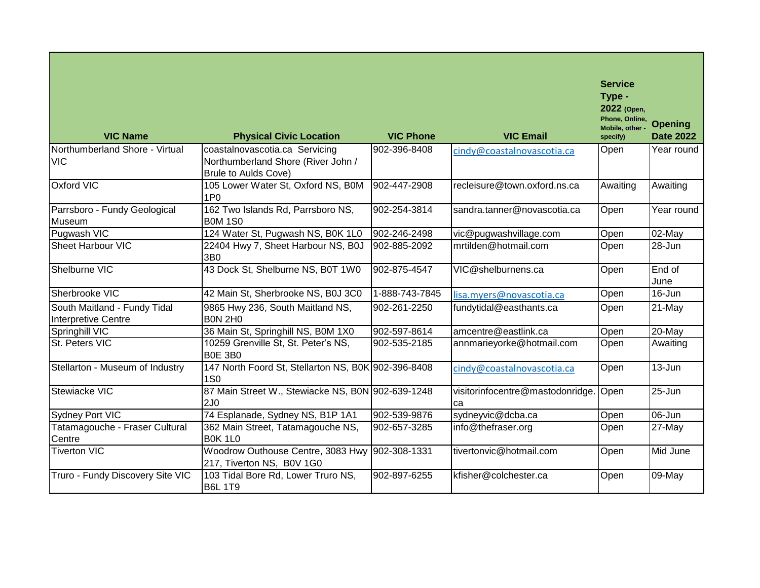| <b>VIC Name</b>                                            | <b>Physical Civic Location</b>                                                                      | <b>VIC Phone</b> | <b>VIC Email</b>                       | <b>Service</b><br>Type -<br>2022 (Open,<br>Phone, Online,<br>Mobile, other -<br>specify) | <b>Opening</b><br><b>Date 2022</b> |
|------------------------------------------------------------|-----------------------------------------------------------------------------------------------------|------------------|----------------------------------------|------------------------------------------------------------------------------------------|------------------------------------|
| Northumberland Shore - Virtual<br><b>VIC</b>               | coastalnovascotia.ca Servicing<br>Northumberland Shore (River John /<br><b>Brule to Aulds Cove)</b> | 902-396-8408     | cindy@coastalnovascotia.ca             | Open                                                                                     | Year round                         |
| Oxford VIC                                                 | 105 Lower Water St, Oxford NS, B0M<br>1P <sub>0</sub>                                               | 902-447-2908     | recleisure@town.oxford.ns.ca           | Awaiting                                                                                 | Awaiting                           |
| Parrsboro - Fundy Geological<br>Museum                     | 162 Two Islands Rd, Parrsboro NS,<br><b>B0M 1S0</b>                                                 | 902-254-3814     | sandra.tanner@novascotia.ca            | Open                                                                                     | Year round                         |
| Pugwash VIC                                                | 124 Water St, Pugwash NS, B0K 1L0                                                                   | 902-246-2498     | vic@pugwashvillage.com                 | Open                                                                                     | 02-May                             |
| <b>Sheet Harbour VIC</b>                                   | 22404 Hwy 7, Sheet Harbour NS, B0J<br>3B0                                                           | 902-885-2092     | mrtilden@hotmail.com                   | Open                                                                                     | 28-Jun                             |
| Shelburne VIC                                              | 43 Dock St, Shelburne NS, B0T 1W0                                                                   | 902-875-4547     | VIC@shelburnens.ca                     | Open                                                                                     | End of<br>June                     |
| Sherbrooke VIC                                             | 42 Main St, Sherbrooke NS, B0J 3C0                                                                  | 1-888-743-7845   | lisa.myers@novascotia.ca               | Open                                                                                     | 16-Jun                             |
| South Maitland - Fundy Tidal<br><b>Interpretive Centre</b> | 9865 Hwy 236, South Maitland NS,<br><b>B0N 2H0</b>                                                  | 902-261-2250     | fundytidal@easthants.ca                | Open                                                                                     | 21-May                             |
| Springhill VIC                                             | 36 Main St, Springhill NS, B0M 1X0                                                                  | 902-597-8614     | amcentre@eastlink.ca                   | Open                                                                                     | 20-May                             |
| St. Peters VIC                                             | 10259 Grenville St, St. Peter's NS,<br><b>BOE 3BO</b>                                               | 902-535-2185     | annmarieyorke@hotmail.com              | Open                                                                                     | Awaiting                           |
| Stellarton - Museum of Industry                            | 147 North Foord St, Stellarton NS, B0K 902-396-8408<br><b>1S0</b>                                   |                  | cindy@coastalnovascotia.ca             | Open                                                                                     | 13-Jun                             |
| Stewiacke VIC                                              | 87 Main Street W., Stewiacke NS, B0N 902-639-1248<br>2J <sub>0</sub>                                |                  | visitorinfocentre@mastodonridge.<br>ca | lOpen                                                                                    | 25-Jun                             |
| Sydney Port VIC                                            | 74 Esplanade, Sydney NS, B1P 1A1                                                                    | 902-539-9876     | sydneyvic@dcba.ca                      | Open                                                                                     | $06$ -Jun                          |
| Tatamagouche - Fraser Cultural<br>Centre                   | 362 Main Street, Tatamagouche NS,<br><b>B0K 1L0</b>                                                 | 902-657-3285     | info@thefraser.org                     | Open                                                                                     | 27-May                             |
| <b>Tiverton VIC</b>                                        | Woodrow Outhouse Centre, 3083 Hwy 902-308-1331<br>217, Tiverton NS, B0V 1G0                         |                  | tivertonvic@hotmail.com                | Open                                                                                     | Mid June                           |
| Truro - Fundy Discovery Site VIC                           | 103 Tidal Bore Rd, Lower Truro NS,<br><b>B6L 1T9</b>                                                | 902-897-6255     | kfisher@colchester.ca                  | Open                                                                                     | 09-May                             |